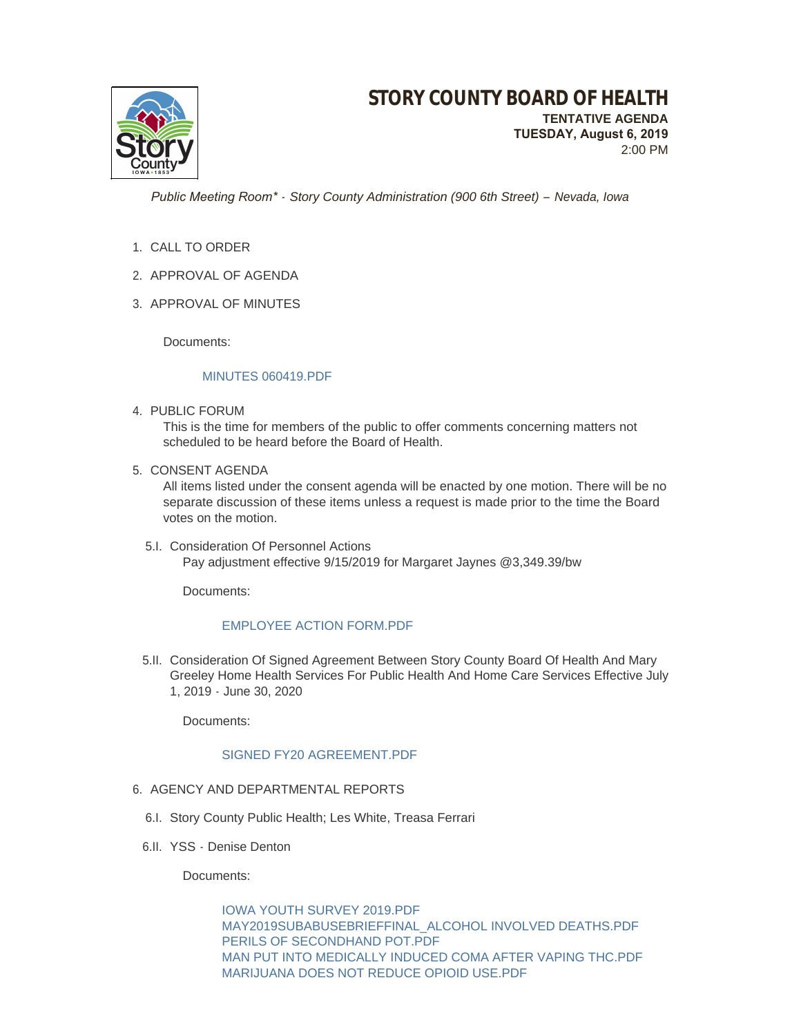

2:00 PM

 *Public Meeting Room\* - Story County Administration (900 6th Street) – Nevada, Iowa*

- 1. CALL TO ORDER
- 2. APPROVAL OF AGENDA
- 3. APPROVAL OF MINUTES

Documents:

### [MINUTES 060419.PDF](http://www.storycountyiowa.gov/AgendaCenter/ViewFile/Item/15323?fileID=11967)

4. PUBLIC FORUM

This is the time for members of the public to offer comments concerning matters not scheduled to be heard before the Board of Health.

5. CONSENT AGENDA

All items listed under the consent agenda will be enacted by one motion. There will be no separate discussion of these items unless a request is made prior to the time the Board votes on the motion.

5.I. Consideration Of Personnel Actions Pay adjustment effective 9/15/2019 for Margaret Jaynes @3,349.39/bw

Documents:

## [EMPLOYEE ACTION FORM.PDF](http://www.storycountyiowa.gov/AgendaCenter/ViewFile/Item/15311?fileID=11950)

5.II. Consideration Of Signed Agreement Between Story County Board Of Health And Mary Greeley Home Health Services For Public Health And Home Care Services Effective July 1, 2019 - June 30, 2020

Documents:

### [SIGNED FY20 AGREEMENT.PDF](http://www.storycountyiowa.gov/AgendaCenter/ViewFile/Item/14960?fileID=11677)

### 6. AGENCY AND DEPARTMENTAL REPORTS

- 6.I. Story County Public Health; Les White, Treasa Ferrari
- 6.II. YSS Denise Denton

Documents:

[IOWA YOUTH SURVEY 2019.PDF](http://www.storycountyiowa.gov/AgendaCenter/ViewFile/Item/14817?fileID=11942) [MAY2019SUBABUSEBRIEFFINAL\\_ALCOHOL INVOLVED DEATHS.PDF](http://www.storycountyiowa.gov/AgendaCenter/ViewFile/Item/14817?fileID=11938) [PERILS OF SECONDHAND POT.PDF](http://www.storycountyiowa.gov/AgendaCenter/ViewFile/Item/14817?fileID=11939) [MAN PUT INTO MEDICALLY INDUCED COMA AFTER VAPING THC.PDF](http://www.storycountyiowa.gov/AgendaCenter/ViewFile/Item/14817?fileID=11940) [MARIJUANA DOES NOT REDUCE OPIOID USE.PDF](http://www.storycountyiowa.gov/AgendaCenter/ViewFile/Item/14817?fileID=11941)